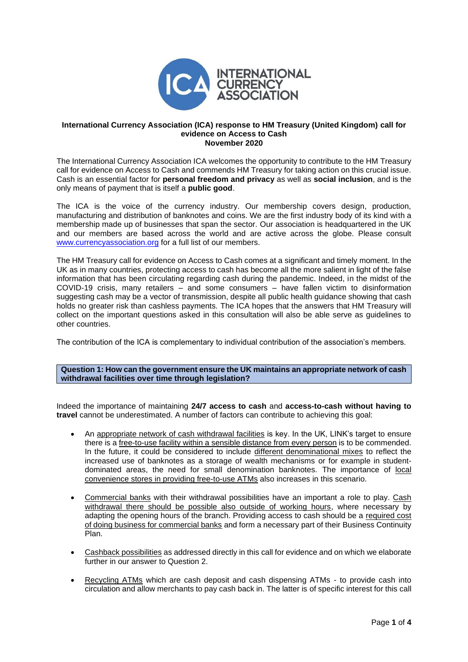

## **International Currency Association (ICA) response to HM Treasury (United Kingdom) call for evidence on Access to Cash November 2020**

The International Currency Association ICA welcomes the opportunity to contribute to the HM Treasury call for evidence on Access to Cash and commends HM Treasury for taking action on this crucial issue. Cash is an essential factor for **personal freedom and privacy** as well as **social inclusion**, and is the only means of payment that is itself a **public good**.

The ICA is the voice of the currency industry. Our membership covers design, production, manufacturing and distribution of banknotes and coins. We are the first industry body of its kind with a membership made up of businesses that span the sector. Our association is headquartered in the UK and our members are based across the world and are active across the globe. Please consult [www.currencyassociation.org](http://www.currencyassociation.org/) for a full list of our members.

The HM Treasury call for evidence on Access to Cash comes at a significant and timely moment. In the UK as in many countries, protecting access to cash has become all the more salient in light of the false information that has been circulating regarding cash during the pandemic. Indeed, in the midst of the COVID-19 crisis, many retailers – and some consumers – have fallen victim to disinformation suggesting cash may be a vector of transmission, despite all public health guidance showing that cash holds no greater risk than cashless payments. The ICA hopes that the answers that HM Treasury will collect on the important questions asked in this consultation will also be able serve as guidelines to other countries.

The contribution of the ICA is complementary to individual contribution of the association's members.

## **Question 1: How can the government ensure the UK maintains an appropriate network of cash withdrawal facilities over time through legislation?**

Indeed the importance of maintaining **24/7 access to cash** and **access-to-cash without having to travel** cannot be underestimated. A number of factors can contribute to achieving this goal:

- An appropriate network of cash withdrawal facilities is key. In the UK, LINK's target to ensure there is a free-to-use facility within a sensible distance from every person is to be commended. In the future, it could be considered to include different denominational mixes to reflect the increased use of banknotes as a storage of wealth mechanisms or for example in studentdominated areas, the need for small denomination banknotes. The importance of local convenience stores in providing free-to-use ATMs also increases in this scenario.
- Commercial banks with their withdrawal possibilities have an important a role to play. Cash withdrawal there should be possible also outside of working hours, where necessary by adapting the opening hours of the branch. Providing access to cash should be a required cost of doing business for commercial banks and form a necessary part of their Business Continuity Plan.
- Cashback possibilities as addressed directly in this call for evidence and on which we elaborate further in our answer to Question 2.
- Recycling ATMs which are cash deposit and cash dispensing ATMs to provide cash into circulation and allow merchants to pay cash back in. The latter is of specific interest for this call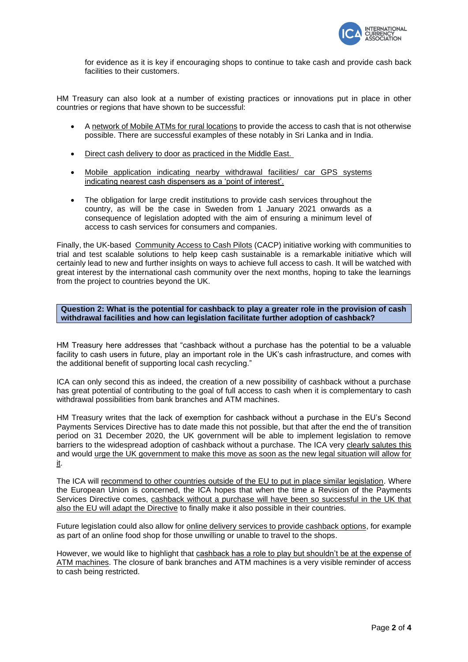

for evidence as it is key if encouraging shops to continue to take cash and provide cash back facilities to their customers.

HM Treasury can also look at a number of existing practices or innovations put in place in other countries or regions that have shown to be successful:

- A network of Mobile ATMs for rural locations to provide the access to cash that is not otherwise possible. There are successful examples of these notably in Sri Lanka and in India.
- Direct cash delivery to door as practiced in the Middle East.
- Mobile application indicating nearby withdrawal facilities/ car GPS systems indicating nearest cash dispensers as a 'point of interest'.
- The obligation for large credit institutions to provide cash services throughout the country, as will be the case in Sweden from 1 January 2021 onwards as a consequence of legislation adopted with the aim of ensuring a minimum level of access to cash services for consumers and companies.

Finally, the UK-based Community Access to Cash Pilots (CACP) initiative working with communities to trial and test scalable solutions to help keep cash sustainable is a remarkable initiative which will certainly lead to new and further insights on ways to achieve full access to cash. It will be watched with great interest by the international cash community over the next months, hoping to take the learnings from the project to countries beyond the UK.

**Question 2: What is the potential for cashback to play a greater role in the provision of cash withdrawal facilities and how can legislation facilitate further adoption of cashback?**

HM Treasury here addresses that "cashback without a purchase has the potential to be a valuable facility to cash users in future, play an important role in the UK's cash infrastructure, and comes with the additional benefit of supporting local cash recycling."

ICA can only second this as indeed, the creation of a new possibility of cashback without a purchase has great potential of contributing to the goal of full access to cash when it is complementary to cash withdrawal possibilities from bank branches and ATM machines.

HM Treasury writes that the lack of exemption for cashback without a purchase in the EU's Second Payments Services Directive has to date made this not possible, but that after the end the of transition period on 31 December 2020, the UK government will be able to implement legislation to remove barriers to the widespread adoption of cashback without a purchase. The ICA very clearly salutes this and would urge the UK government to make this move as soon as the new legal situation will allow for it.

The ICA will recommend to other countries outside of the EU to put in place similar legislation. Where the European Union is concerned, the ICA hopes that when the time a Revision of the Payments Services Directive comes, cashback without a purchase will have been so successful in the UK that also the EU will adapt the Directive to finally make it also possible in their countries.

Future legislation could also allow for online delivery services to provide cashback options, for example as part of an online food shop for those unwilling or unable to travel to the shops.

However, we would like to highlight that cashback has a role to play but shouldn't be at the expense of ATM machines. The closure of bank branches and ATM machines is a very visible reminder of access to cash being restricted.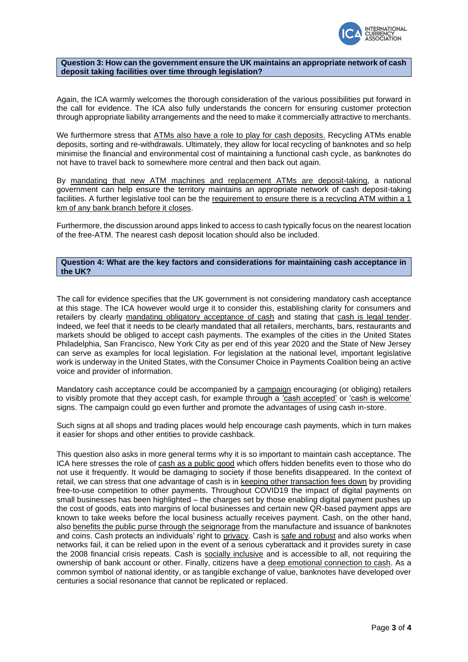

## **Question 3: How can the government ensure the UK maintains an appropriate network of cash deposit taking facilities over time through legislation?**

Again, the ICA warmly welcomes the thorough consideration of the various possibilities put forward in the call for evidence. The ICA also fully understands the concern for ensuring customer protection through appropriate liability arrangements and the need to make it commercially attractive to merchants.

We furthermore stress that ATMs also have a role to play for cash deposits. Recycling ATMs enable deposits, sorting and re-withdrawals. Ultimately, they allow for local recycling of banknotes and so help minimise the financial and environmental cost of maintaining a functional cash cycle, as banknotes do not have to travel back to somewhere more central and then back out again.

By mandating that new ATM machines and replacement ATMs are deposit-taking, a national government can help ensure the territory maintains an appropriate network of cash deposit-taking facilities. A further legislative tool can be the requirement to ensure there is a recycling ATM within a 1 km of any bank branch before it closes.

Furthermore, the discussion around apps linked to access to cash typically focus on the nearest location of the free-ATM. The nearest cash deposit location should also be included.

## **Question 4: What are the key factors and considerations for maintaining cash acceptance in the UK?**

The call for evidence specifies that the UK government is not considering mandatory cash acceptance at this stage. The ICA however would urge it to consider this, establishing clarity for consumers and retailers by clearly mandating obligatory acceptance of cash and stating that cash is legal tender. Indeed, we feel that it needs to be clearly mandated that all retailers, merchants, bars, restaurants and markets should be obliged to accept cash payments. The examples of the cities in the United States Philadelphia, San Francisco, New York City as per end of this year 2020 and the State of New Jersey can serve as examples for local legislation. For legislation at the national level, important legislative work is underway in the United States, with the Consumer Choice in Payments Coalition being an active voice and provider of information.

Mandatory cash acceptance could be accompanied by a campaign encouraging (or obliging) retailers to visibly promote that they accept cash, for example through a 'cash accepted' or 'cash is welcome' signs. The campaign could go even further and promote the advantages of using cash in-store.

Such signs at all shops and trading places would help encourage cash payments, which in turn makes it easier for shops and other entities to provide cashback.

This question also asks in more general terms why it is so important to maintain cash acceptance. The ICA here stresses the role of cash as a public good which offers hidden benefits even to those who do not use it frequently. It would be damaging to society if those benefits disappeared. In the context of retail, we can stress that one advantage of cash is in keeping other transaction fees down by providing free-to-use competition to other payments. Throughout COVID19 the impact of digital payments on small businesses has been highlighted – the charges set by those enabling digital payment pushes up the cost of goods, eats into margins of local businesses and certain new QR-based payment apps are known to take weeks before the local business actually receives payment. Cash, on the other hand, also benefits the public purse through the seignorage from the manufacture and issuance of banknotes and coins. Cash protects an individuals' right to privacy. Cash is safe and robust and also works when networks fail, it can be relied upon in the event of a serious cyberattack and it provides surety in case the 2008 financial crisis repeats. Cash is socially inclusive and is accessible to all, not requiring the ownership of bank account or other. Finally, citizens have a deep emotional connection to cash. As a common symbol of national identity, or as tangible exchange of value, banknotes have developed over centuries a social resonance that cannot be replicated or replaced.